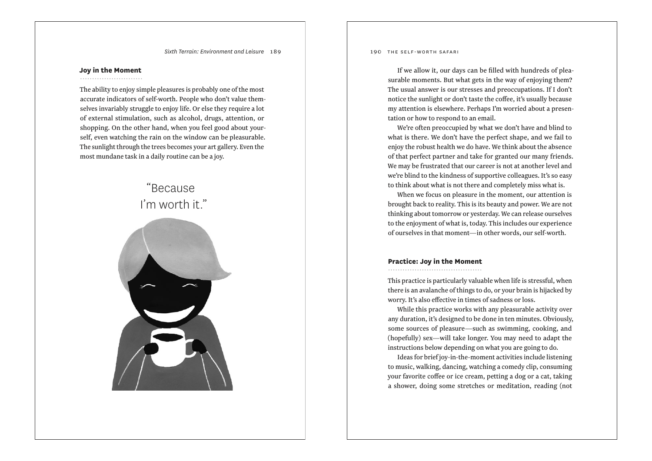*Sixth Terrain: Environment and Leisure* 189

#### **Joy in the Moment**

........................

The ability to enjoy simple pleasures is probably one of the most accurate indicators of self-worth. People who don't value themselves invariably struggle to enjoy life. Or else they require a lot of external stimulation, such as alcohol, drugs, attention, or shopping. On the other hand, when you feel good about yourself, even watching the rain on the window can be pleasurable. The sunlight through the trees becomes your art gallery. Even the most mundane task in a daily routine can be a joy.

## "Because I'm worth it."



190 the self-worth safari

If we allow it, our days can be filled with hundreds of pleasurable moments. But what gets in the way of enjoying them? The usual answer is our stresses and preoccupations. If I don't notice the sunlight or don't taste the coffee, it's usually because my attention is elsewhere. Perhaps I'm worried about a presentation or how to respond to an email.

We're often preoccupied by what we don't have and blind to what is there. We don't have the perfect shape, and we fail to enjoy the robust health we do have. We think about the absence of that perfect partner and take for granted our many friends. We may be frustrated that our career is not at another level and we're blind to the kindness of supportive colleagues. It's so easy to think about what is not there and completely miss what is.

When we focus on pleasure in the moment, our attention is brought back to reality. This is its beauty and power. We are not thinking about tomorrow or yesterday. We can release ourselves to the enjoyment of what is, today. This includes our experience of ourselves in that moment—in other words, our self-worth.

#### **Practice: Joy in the Moment**

This practice is particularly valuable when life is stressful, when there is an avalanche of things to do, or your brain is hijacked by worry. It's also effective in times of sadness or loss.

While this practice works with any pleasurable activity over any duration, it's designed to be done in ten minutes. Obviously, some sources of pleasure—such as swimming, cooking, and (hopefully) sex—will take longer. You may need to adapt the instructions below depending on what you are going to do.

Ideas for brief joy-in-the-moment activities include listening to music, walking, dancing, watching a comedy clip, consuming your favorite coffee or ice cream, petting a dog or a cat, taking a shower, doing some stretches or meditation, reading (not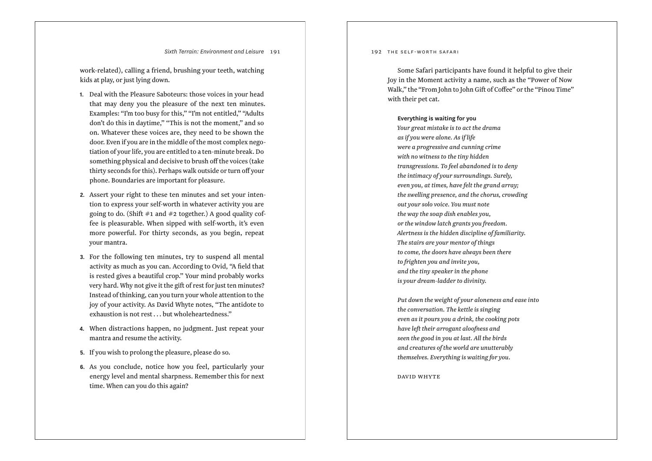*Sixth Terrain: Environment and Leisure* 191

work-related), calling a friend, brushing your teeth, watching kids at play, or just lying down.

- **1.** Deal with the Pleasure Saboteurs: those voices in your head that may deny you the pleasure of the next ten minutes. Examples: "I'm too busy for this," "I'm not entitled," "Adults don't do this in daytime," "This is not the moment," and so on. Whatever these voices are, they need to be shown the door. Even if you are in the middle of the most complex nego tiation of your life, you are entitled to a ten-minute break. Do something physical and decisive to brush o ff the voices (take thirty seconds for this). Perhaps walk outside or turn o ff your phone. Boundaries are important for pleasure.
- **2.** Assert your right to these ten minutes and set your inten tion to express your self-worth in whatever activity you are going to do. (Shift  $\#1$  and  $\#2$  together.) A good quality coffee is pleasurable. When sipped with self-worth, it's even more powerful. For thirty seconds, as you begin, repeat your mantra.
- **3.** For the following ten minutes, try to suspend all mental activity as much as you can. According to Ovid, "A field that is rested gives a beautiful crop." Your mind probably works very hard. Why not give it the gift of rest for just ten minutes? Instead of thinking, can you turn your whole attention to the joy of your activity. As David Whyte notes, "The antidote to exhaustion is not rest . . . but wholeheartedness."
- **4.** When distractions happen, no judgment. Just repeat your mantra and resume the activity.
- **5.** If you wish to prolong the pleasure, please do so.
- **6.** As you conclude, notice how you feel, particularly your energy level and mental sharpness. Remember this for next time. When can you do this again?

192 THE SELF-WORTH SAFARI

Some Safari participants have found it helpful to give their Joy in the Moment activity a name, such as the "Power of Now Walk," the "From John to John Gift of Co ffee" or the "Pinou Time" with their pet cat.

#### **Everything is waiting for you**

*Your great mistake is to act the drama as if you were alone. As if life were a progressive and cunning crime with no witness to the tiny hidden transgressions. To feel abandoned is to deny the intimacy of your surroundings. Surely, even you, at times, have felt the grand array; the swelling presence, and the chorus, crowding out your solo voice. You must note the way the soap dish enables you, or the window latch grants you freedom. Alertness is the hidden discipline of familiarity. The stairs are your mentor of things to come, the doors have always been there to frighten you and invite you, and the tiny speaker in the phone is your dream-ladder to divinity.*

*Put down the weight of your aloneness and ease into the conversation. The kettle is singing even as it pours you a drink, the cooking pots have left their arrogant aloofness and seen the good in you at last. All the birds and creatures of the world are unutterably themselves. Everything is waiting for you.*

david whyte